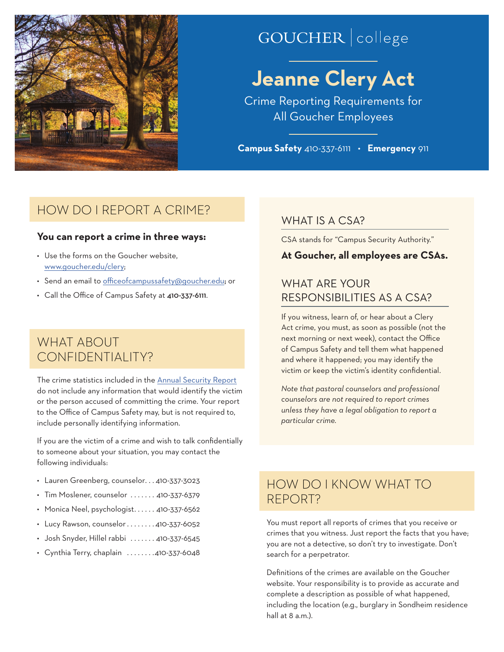

# GOUCHER | college

# **Jeanne Clery Act**

Crime Reporting Requirements for All Goucher Employees

**Campus Safety** 410-337-6111 • **Emergency** 911

## HOW DO I REPORT A CRIME?

#### **You can report a crime in three ways:**

- Use the forms on the Goucher website, [www.goucher.edu/clery;](http://www.goucher.edu/clery)
- Send an email to [officeofcampussafety@goucher.edu](mailto:officeofcampussafety@goucher.edu); or
- Call the Office of Campus Safety at 410-337-6111.

## WHAT ABOUT CONFIDENTIALITY?

The crime statistics included in the [Annual Security Report](http://www.goucher.edu/legal-counsel/all-policies-and-procedures-a-z/annual-security-report) do not include any information that would identify the victim or the person accused of committing the crime. Your report to the Office of Campus Safety may, but is not required to, include personally identifying information.

If you are the victim of a crime and wish to talk confidentially to someone about your situation, you may contact the following individuals:

- Lauren Greenberg, counselor. . 410-337-3023
- $\cdot$  Tim Moslener, counselor  $\ldots \ldots$  410-337-6379
- $\cdot$  Monica Neel, psychologist...... 410-337-6562
- $\cdot$  Lucy Rawson, counselor  $\dots \dots 4$ 10-337-6052
- $\cdot$  Josh Snyder, Hillel rabbi  $\ldots \ldots$  410-337-6545
- Cynthia Terry, chaplain  $\dots \dots 410-337-6048$

### WHAT IS A CSA?

CSA stands for "Campus Security Authority."

#### **At Goucher, all employees are CSAs.**

## WHAT ARE YOUR RESPONSIBILITIES AS A CSA?

If you witness, learn of, or hear about a Clery Act crime, you must, as soon as possible (not the next morning or next week), contact the Office of Campus Safety and tell them what happened and where it happened; you may identify the victim or keep the victim's identity confidential.

*Note that pastoral counselors and professional counselors are not required to report crimes unless they have a legal obligation to report a particular crime.* 

## HOW DO I KNOW WHAT TO REPORT?

You must report all reports of crimes that you receive or crimes that you witness. Just report the facts that you have; you are not a detective, so don't try to investigate. Don't search for a perpetrator.

Definitions of the crimes are available on the Goucher website. Your responsibility is to provide as accurate and complete a description as possible of what happened, including the location (e.g., burglary in Sondheim residence hall at 8 a.m.).